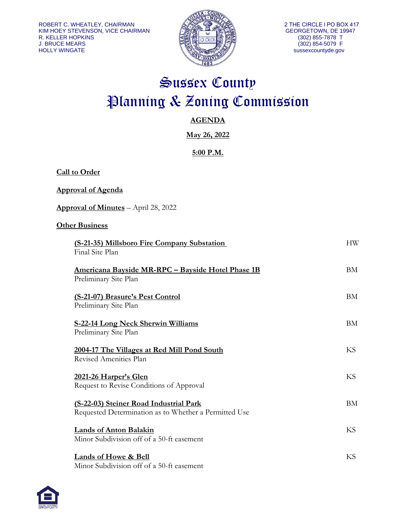**Call to Order**



# Sussex County Planning & Zoning Commission

# **AGENDA**

**May 26, 2022**

# **5:00 P.M.**

| <u>Approval of Agenda</u>                                                                       |           |
|-------------------------------------------------------------------------------------------------|-----------|
| Approval of Minutes - April 28, 2022                                                            |           |
| <b>Other Business</b>                                                                           |           |
| (S-21-35) Millsboro Fire Company Substation<br>Final Site Plan                                  | <b>HW</b> |
| <u> Americana Bayside MR-RPC – Bayside Hotel Phase 1B</u><br>Preliminary Site Plan              | <b>BM</b> |
| (S-21-07) Brasure's Pest Control<br>Preliminary Site Plan                                       | BM        |
| <b>S-22-14 Long Neck Sherwin Williams</b><br>Preliminary Site Plan                              | <b>BM</b> |
| 2004-17 The Villages at Red Mill Pond South<br>Revised Amenities Plan                           | KS        |
| 2021-26 Harper's Glen<br>Request to Revise Conditions of Approval                               | KS        |
| (S-22-03) Steiner Road Industrial Park<br>Requested Determination as to Whether a Permitted Use | <b>BM</b> |
| <b>Lands of Anton Balakin</b><br>Minor Subdivision off of a 50-ft easement                      | <b>KS</b> |
| Lands of Howe & Bell<br>Minor Subdivision off of a 50-ft easement                               | <b>KS</b> |

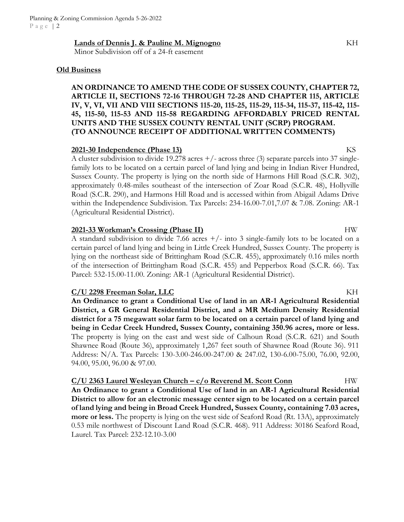#### **Lands of Dennis J. & Pauline M. Mignogno** KH

Minor Subdivision off of a 24-ft easement

#### **Old Business**

# **AN ORDINANCE TO AMEND THE CODE OF SUSSEX COUNTY, CHAPTER 72, ARTICLE II, SECTIONS 72-16 THROUGH 72-28 AND CHAPTER 115, ARTICLE IV, V, VI, VII AND VIII SECTIONS 115-20, 115-25, 115-29, 115-34, 115-37, 115-42, 115- 45, 115-50, 115-53 AND 115-58 REGARDING AFFORDABLY PRICED RENTAL UNITS AND THE SUSSEX COUNTY RENTAL UNIT (SCRP) PROGRAM. (TO ANNOUNCE RECEIPT OF ADDITIONAL WRITTEN COMMENTS)**

#### **2021-30 Independence (Phase 13)** KS

A cluster subdivision to divide 19.278 acres +/- across three (3) separate parcels into 37 singlefamily lots to be located on a certain parcel of land lying and being in Indian River Hundred, Sussex County. The property is lying on the north side of Harmons Hill Road (S.C.R. 302), approximately 0.48-miles southeast of the intersection of Zoar Road (S.C.R. 48), Hollyville Road (S.C.R. 290), and Harmons Hill Road and is accessed within from Abigail Adams Drive within the Independence Subdivision. Tax Parcels: 234-16.00-7.01,7.07 & 7.08. Zoning: AR-1 (Agricultural Residential District).

## **2021-33 Workman's Crossing (Phase II)** HW

A standard subdivision to divide 7.66 acres  $+/-$  into 3 single-family lots to be located on a certain parcel of land lying and being in Little Creek Hundred, Sussex County. The property is lying on the northeast side of Brittingham Road (S.C.R. 455), approximately 0.16 miles north of the intersection of Brittingham Road (S.C.R. 455) and Pepperbox Road (S.C.R. 66). Tax Parcel: 532-15.00-11.00. Zoning: AR-1 (Agricultural Residential District).

## **C/U 2298 Freeman Solar, LLC** KH

**An Ordinance to grant a Conditional Use of land in an AR-1 Agricultural Residential District, a GR General Residential District, and a MR Medium Density Residential district for a 75 megawatt solar farm to be located on a certain parcel of land lying and being in Cedar Creek Hundred, Sussex County, containing 350.96 acres, more or less.**  The property is lying on the east and west side of Calhoun Road (S.C.R. 621) and South Shawnee Road (Route 36), approximately 1,267 feet south of Shawnee Road (Route 36). 911 Address: N/A. Tax Parcels: 130-3.00-246.00-247.00 & 247.02, 130-6.00-75.00, 76.00, 92.00, 94.00, 95.00, 96.00 & 97.00.

## **C/U 2363 Laurel Wesleyan Church – c/o Reverend M. Scott Conn** HW **An Ordinance to grant a Conditional Use of land in an AR-1 Agricultural Residential District to allow for an electronic message center sign to be located on a certain parcel of land lying and being in Broad Creek Hundred, Sussex County, containing 7.03 acres, more or less.** The property is lying on the west side of Seaford Road (Rt. 13A), approximately 0.53 mile northwest of Discount Land Road (S.C.R. 468). 911 Address: 30186 Seaford Road, Laurel. Tax Parcel: 232-12.10-3.00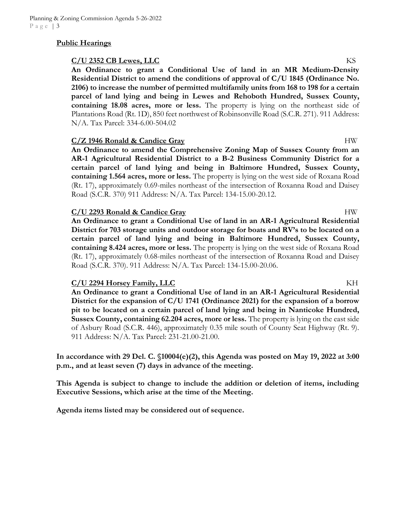## **Public Hearings**

#### **C/U 2352 CB Lewes, LLC** KS

**An Ordinance to grant a Conditional Use of land in an MR Medium-Density Residential District to amend the conditions of approval of C/U 1845 (Ordinance No. 2106) to increase the number of permitted multifamily units from 168 to 198 for a certain parcel of land lying and being in Lewes and Rehoboth Hundred, Sussex County, containing 18.08 acres, more or less.** The property is lying on the northeast side of Plantations Road (Rt. 1D), 850 feet northwest of Robinsonville Road (S.C.R. 271). 911 Address: N/A. Tax Parcel: 334-6.00-504.02

## **C/Z 1946 Ronald & Candice Gray** HW

**An Ordinance to amend the Comprehensive Zoning Map of Sussex County from an AR-1 Agricultural Residential District to a B-2 Business Community District for a certain parcel of land lying and being in Baltimore Hundred, Sussex County, containing 1.564 acres, more or less.** The property is lying on the west side of Roxana Road (Rt. 17), approximately 0.69-miles northeast of the intersection of Roxanna Road and Daisey Road (S.C.R. 370) 911 Address: N/A. Tax Parcel: 134-15.00-20.12.

#### **C/U 2293 Ronald & Candice Gray** HW

**An Ordinance to grant a Conditional Use of land in an AR-1 Agricultural Residential District for 703 storage units and outdoor storage for boats and RV's to be located on a certain parcel of land lying and being in Baltimore Hundred, Sussex County, containing 8.424 acres, more or less.** The property is lying on the west side of Roxana Road (Rt. 17), approximately 0.68-miles northeast of the intersection of Roxanna Road and Daisey Road (S.C.R. 370). 911 Address: N/A. Tax Parcel: 134-15.00-20.06.

## **C/U 2294 Horsey Family, LLC** KH

**An Ordinance to grant a Conditional Use of land in an AR-1 Agricultural Residential District for the expansion of C/U 1741 (Ordinance 2021) for the expansion of a borrow pit to be located on a certain parcel of land lying and being in Nanticoke Hundred, Sussex County, containing 62.204 acres, more or less.** The property is lying on the east side of Asbury Road (S.C.R. 446), approximately 0.35 mile south of County Seat Highway (Rt. 9). 911 Address: N/A. Tax Parcel: 231-21.00-21.00.

**In accordance with 29 Del. C. §10004(e)(2), this Agenda was posted on May 19, 2022 at 3:00 p.m., and at least seven (7) days in advance of the meeting.** 

**This Agenda is subject to change to include the addition or deletion of items, including Executive Sessions, which arise at the time of the Meeting.** 

**Agenda items listed may be considered out of sequence.**